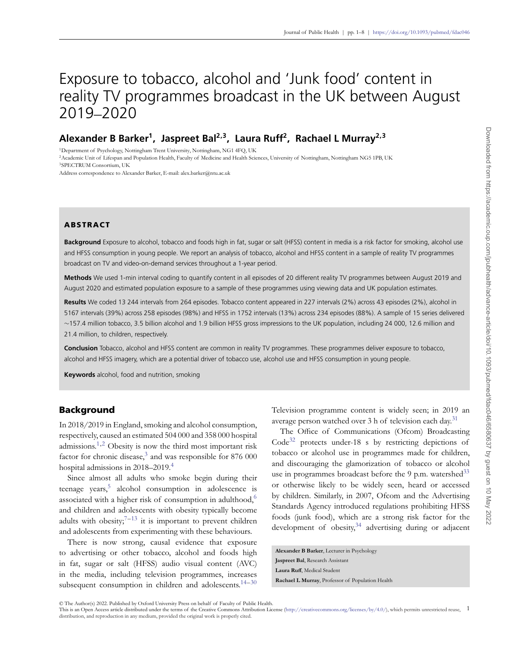# Exposure to tobacco, alcohol and 'Junk food' content in reality TV programmes broadcast in the UK between August 2019–2020

# **Alexander B Barker1, Jaspreet Bal2,3, Laura Ruff2, Rachael L Murray2,3**

1Department of Psychology, Nottingham Trent University, Nottingham, NG1 4FQ, UK

<sup>2</sup> Academic Unit of Lifespan and Population Health, Faculty of Medicine and Health Sciences, University of Nottingham, Nottingham NG5 1PB, UK 3SPECTRUM Consortium, UK

Address correspondence to Alexander Barker, E-mail: alex.barker@ntu.ac.uk

# **ABSTRACT**

**Background** Exposure to alcohol, tobacco and foods high in fat, sugar or salt (HFSS) content in media is a risk factor for smoking, alcohol use and HFSS consumption in young people. We report an analysis of tobacco, alcohol and HFSS content in a sample of reality TV programmes broadcast on TV and video-on-demand services throughout a 1-year period.

**Methods** We used 1-min interval coding to quantify content in all episodes of 20 different reality TV programmes between August 2019 and August 2020 and estimated population exposure to a sample of these programmes using viewing data and UK population estimates.

**Results** We coded 13 244 intervals from 264 episodes. Tobacco content appeared in 227 intervals (2%) across 43 episodes (2%), alcohol in 5167 intervals (39%) across 258 episodes (98%) and HFSS in 1752 intervals (13%) across 234 episodes (88%). A sample of 15 series delivered ∼157.4 million tobacco, 3.5 billion alcohol and 1.9 billion HFSS gross impressions to the UK population, including 24 000, 12.6 million and 21.4 million, to children, respectively.

**Conclusion** Tobacco, alcohol and HFSS content are common in reality TV programmes. These programmes deliver exposure to tobacco, alcohol and HFSS imagery, which are a potential driver of tobacco use, alcohol use and HFSS consumption in young people.

**Keywords** alcohol, food and nutrition, smoking

# **Background**

In 2018/2019 in England, smoking and alcohol consumption, respectively, caused an estimated 504 000 and 358 000 hospital admissions.[1](#page-6-0),[2](#page-6-1) Obesity is now the third most important risk factor for chronic disease, $3$  and was responsible for 876 000 hospital admissions in 2018–2019.[4](#page-6-3)

<span id="page-0-4"></span><span id="page-0-2"></span><span id="page-0-1"></span><span id="page-0-0"></span>Since almost all adults who smoke begin during their teenage years,<sup>5</sup> alcohol consumption in adolescence is associated with a higher risk of consumption in adulthood,<sup>[6](#page-6-5)</sup> and children and adolescents with obesity typically become adults with obesity;  $7-13$  $7-13$  it is important to prevent children and adolescents from experimenting with these behaviours.

<span id="page-0-7"></span><span id="page-0-6"></span>There is now strong, causal evidence that exposure to advertising or other tobacco, alcohol and foods high in fat, sugar or salt (HFSS) audio visual content (AVC) in the media, including television programmes, increases subsequent consumption in children and adolescents.<sup>14-[30](#page-7-0)</sup>

Television programme content is widely seen; in 2019 an average person watched over 3 h of television each day.<sup>[31](#page-7-1)</sup>

<span id="page-0-12"></span><span id="page-0-11"></span><span id="page-0-10"></span><span id="page-0-3"></span>The Office of Communications (Ofcom) Broadcasting  $Code^{32}$  $Code^{32}$  $Code^{32}$  protects under-18 s by restricting depictions of tobacco or alcohol use in programmes made for children, and discouraging the glamorization of tobacco or alcohol use in programmes broadcast before the 9 p.m. watershed<sup>33</sup> or otherwise likely to be widely seen, heard or accessed by children. Similarly, in 2007, Ofcom and the Advertising Standards Agency introduced regulations prohibiting HFSS foods (junk food), which are a strong risk factor for the development of obesity,  $34$  advertising during or adjacent

<span id="page-0-13"></span><span id="page-0-9"></span><span id="page-0-8"></span><span id="page-0-5"></span>**Alexander B Barker**, Lecturer in Psychology **Jaspreet Bal**, Research Assistant **Laura Ruff**, Medical Student **Rachael L Murray**, Professor of Population Health

© The Author(s) 2022. Published by Oxford University Press on behalf of Faculty of Public Health.<br>This is an Open Access article distributed under the terms of the Creative Commons Attribution License (http://creativecommo distribution, and reproduction in any medium, provided the original work is properly cited.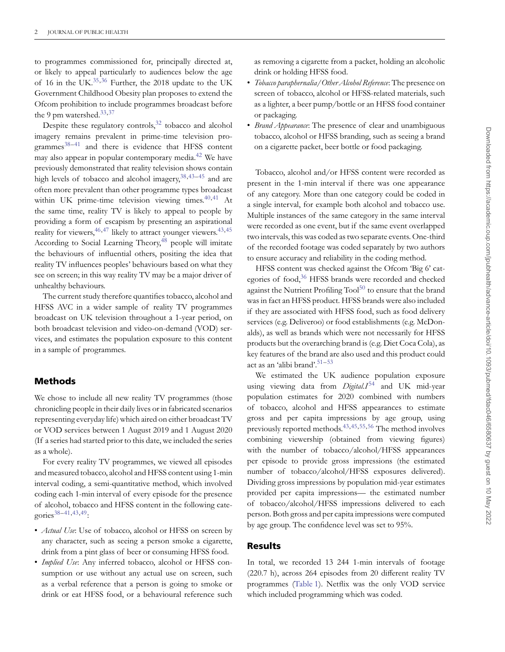<span id="page-1-1"></span><span id="page-1-0"></span>to programmes commissioned for, principally directed at, or likely to appeal particularly to audiences below the age of 16 in the UK.<sup>[35,](#page-7-5)[36](#page-7-6)</sup> Further, the 2018 update to the UK Government Childhood Obesity plan proposes to extend the Ofcom prohibition to include programmes broadcast before the 9 pm watershed.<sup>[33](#page-7-3),[37](#page-7-7)</sup>

<span id="page-1-5"></span><span id="page-1-3"></span><span id="page-1-2"></span>Despite these regulatory controls, $32$  tobacco and alcohol imagery remains prevalent in prime-time television programmes $38-41$  $38-41$  and there is evidence that HFSS content may also appear in popular contemporary media.[42](#page-7-10) We have previously demonstrated that reality television shows contain high levels of tobacco and alcohol imagery,  $38,43-45$  $38,43-45$  $38,43-45$  $38,43-45$  $38,43-45$  and are often more prevalent than other programme types broadcast within UK prime-time television viewing times. $40,41$  $40,41$  At the same time, reality TV is likely to appeal to people by providing a form of escapism by presenting an aspirational reality for viewers,  $46,47$  $46,47$  likely to attract younger viewers.  $43,45$  $43,45$ According to Social Learning Theory,<sup>48</sup> people will imitate the behaviours of influential others, positing the idea that reality TV influences peoples' behaviours based on what they see on screen; in this way reality TV may be a major driver of unhealthy behaviours.

<span id="page-1-10"></span><span id="page-1-9"></span>The current study therefore quantifies tobacco, alcohol and HFSS AVC in a wider sample of reality TV programmes broadcast on UK television throughout a 1-year period, on both broadcast television and video-on-demand (VOD) services, and estimates the population exposure to this content in a sample of programmes.

## **Methods**

We chose to include all new reality TV programmes (those chronicling people in their daily lives or in fabricated scenarios representing everyday life) which aired on either broadcast TV or VOD services between 1 August 2019 and 1 August 2020 (If a series had started prior to this date, we included the series as a whole).

For every reality TV programmes, we viewed all episodes and measured tobacco, alcohol and HFSS content using 1-min interval coding, a semi-quantitative method, which involved coding each 1-min interval of every episode for the presence of alcohol, tobacco and HFSS content in the following categories $38-41,43,49$  $38-41,43,49$  $38-41,43,49$  $38-41,43,49$  $38-41,43,49$ :

- <span id="page-1-12"></span>• *Actual Use*: Use of tobacco, alcohol or HFSS on screen by any character, such as seeing a person smoke a cigarette, drink from a pint glass of beer or consuming HFSS food.
- *Implied Use*: Any inferred tobacco, alcohol or HFSS consumption or use without any actual use on screen, such as a verbal reference that a person is going to smoke or drink or eat HFSS food, or a behavioural reference such

as removing a cigarette from a packet, holding an alcoholic drink or holding HFSS food.

- *Tobacco paraphernalia/Other Alcohol Reference*: The presence on screen of tobacco, alcohol or HFSS-related materials, such as a lighter, a beer pump/bottle or an HFSS food container or packaging.
- *Brand Appearance*: The presence of clear and unambiguous tobacco, alcohol or HFSS branding, such as seeing a brand on a cigarette packet, beer bottle or food packaging.

<span id="page-1-8"></span><span id="page-1-7"></span><span id="page-1-6"></span><span id="page-1-4"></span>Tobacco, alcohol and/or HFSS content were recorded as present in the 1-min interval if there was one appearance of any category. More than one category could be coded in a single interval, for example both alcohol and tobacco use. Multiple instances of the same category in the same interval were recorded as one event, but if the same event overlapped two intervals, this was coded as two separate events. One-third of the recorded footage was coded separately by two authors to ensure accuracy and reliability in the coding method.

<span id="page-1-13"></span><span id="page-1-11"></span>HFSS content was checked against the Ofcom 'Big 6' cat-egories of food,<sup>[36](#page-7-6)</sup> HFSS brands were recorded and checked against the Nutrient Profiling  $\text{Tool}^{50}$  $\text{Tool}^{50}$  $\text{Tool}^{50}$  to ensure that the brand was in fact an HFSS product. HFSS brands were also included if they are associated with HFSS food, such as food delivery services (e.g. Deliveroo) or food establishments (e.g. McDonalds), as well as brands which were not necessarily for HFSS products but the overarching brand is (e.g. Diet Coca Cola), as key features of the brand are also used and this product could act as an 'alibi brand'.<sup>51-[53](#page-7-20)</sup>

<span id="page-1-18"></span><span id="page-1-17"></span><span id="page-1-16"></span><span id="page-1-15"></span><span id="page-1-14"></span>We estimated the UK audience population exposure using viewing data from  $Diqital.1^{54}$  $Diqital.1^{54}$  $Diqital.1^{54}$  and UK mid-year population estimates for 2020 combined with numbers of tobacco, alcohol and HFSS appearances to estimate gross and per capita impressions by age group, using previously reported methods.<sup>[43,](#page-7-11)[45,](#page-7-12)[55,](#page-7-22)[56](#page-7-23)</sup> The method involves combining viewership (obtained from viewing figures) with the number of tobacco/alcohol/HFSS appearances per episode to provide gross impressions (the estimated number of tobacco/alcohol/HFSS exposures delivered). Dividing gross impressions by population mid-year estimates provided per capita impressions— the estimated number of tobacco/alcohol/HFSS impressions delivered to each person. Both gross and per capita impressions were computed by age group. The confidence level was set to 95%.

# **Results**

In total, we recorded 13 244 1-min intervals of footage (220.7 h), across 264 episodes from 20 different reality TV programmes [\(Table 1](#page-2-0)). Netflix was the only VOD service which included programming which was coded.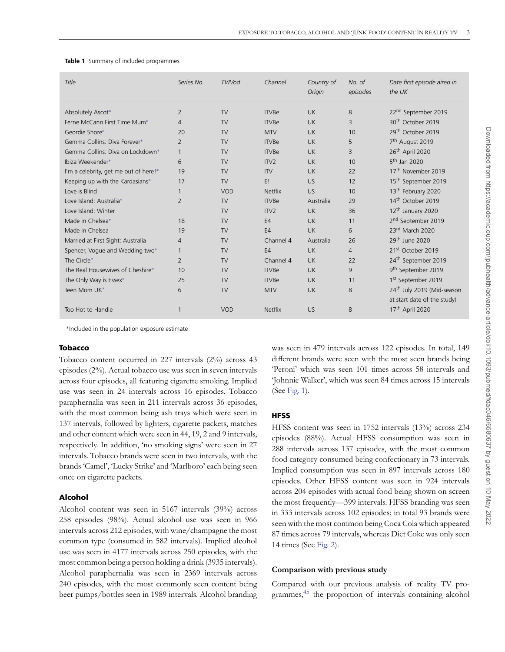| Title                                 | Series No.     | TV/Vod    | Channel        | Country of<br>Origin | No. of<br>episodes | Date first episode aired in<br>the UK                                 |
|---------------------------------------|----------------|-----------|----------------|----------------------|--------------------|-----------------------------------------------------------------------|
| Absolutely Ascot*                     | $\overline{2}$ | <b>TV</b> | <b>ITVBe</b>   | <b>UK</b>            | 8                  | 22 <sup>nd</sup> September 2019                                       |
| Ferne McCann First Time Mum*          | 4              | <b>TV</b> | <b>ITVBe</b>   | <b>UK</b>            | 3                  | 30 <sup>th</sup> October 2019                                         |
| Geordie Shore*                        | 20             | <b>TV</b> | <b>MTV</b>     | <b>UK</b>            | 10                 | 29 <sup>th</sup> October 2019                                         |
| Gemma Collins: Diva Forever*          | $\overline{2}$ | <b>TV</b> | <b>ITVBe</b>   | <b>UK</b>            | 5                  | 7 <sup>th</sup> August 2019                                           |
| Gemma Collins: Diva on Lockdown*      | $\mathbf{1}$   | <b>TV</b> | <b>ITVBe</b>   | <b>UK</b>            | 3                  | 26 <sup>th</sup> April 2020                                           |
| Ibiza Weekender*                      | 6              | <b>TV</b> | ITV2           | <b>UK</b>            | 10                 | 5 <sup>th</sup> Jan 2020                                              |
| I'm a celebrity, get me out of here!* | 19             | <b>TV</b> | <b>ITV</b>     | <b>UK</b>            | 22                 | 17 <sup>th</sup> November 2019                                        |
| Keeping up with the Kardasians*       | 17             | <b>TV</b> | E!             | US.                  | 12                 | 15 <sup>th</sup> September 2019                                       |
| Love is Blind                         | 1              | VOD       | <b>Netflix</b> | <b>US</b>            | 10                 | 13 <sup>th</sup> February 2020                                        |
| Love Island: Australia*               | $\overline{2}$ | <b>TV</b> | <b>ITVBe</b>   | Australia            | 29                 | 14 <sup>th</sup> October 2019                                         |
| Love Island: Winter                   |                | <b>TV</b> | ITV2           | <b>UK</b>            | 36                 | 12 <sup>th</sup> January 2020                                         |
| Made in Chelsea*                      | 18             | <b>TV</b> | E4             | <b>UK</b>            | 11                 | 2 <sup>nd</sup> September 2019                                        |
| Made in Chelsea                       | 19             | <b>TV</b> | E4             | <b>UK</b>            | 6                  | 23rd March 2020                                                       |
| Married at First Sight: Australia     | $\overline{4}$ | <b>TV</b> | Channel 4      | Australia            | 26                 | 29 <sup>th</sup> June 2020                                            |
| Spencer, Vogue and Wedding two*       | 1              | <b>TV</b> | E4             | <b>UK</b>            | $\overline{4}$     | 21 <sup>st</sup> October 2019                                         |
| The Circle*                           | $\overline{2}$ | <b>TV</b> | Channel 4      | <b>UK</b>            | 22                 | 24 <sup>th</sup> September 2019                                       |
| The Real Housewives of Cheshire*      | 10             | <b>TV</b> | <b>ITVBe</b>   | <b>UK</b>            | 9                  | 9 <sup>th</sup> September 2019                                        |
| The Only Way is Essex*                | 25             | <b>TV</b> | <b>ITVBe</b>   | <b>UK</b>            | 11                 | 1 <sup>st</sup> September 2019                                        |
| Teen Mom UK*                          | 6              | <b>TV</b> | <b>MTV</b>     | <b>UK</b>            | 8                  | 24 <sup>th</sup> July 2019 (Mid-season<br>at start date of the study) |
| Too Hot to Handle                     |                | VOD       | <b>Netflix</b> | <b>US</b>            | 8                  | 17 <sup>th</sup> April 2020                                           |

#### <span id="page-2-0"></span>**Table 1** Summary of included programmes

∗Included in the population exposure estimate

## **Tobacco**

Tobacco content occurred in 227 intervals (2%) across 43 episodes (2%). Actual tobacco use was seen in seven intervals across four episodes, all featuring cigarette smoking. Implied use was seen in 24 intervals across 16 episodes. Tobacco paraphernalia was seen in 211 intervals across 36 episodes, with the most common being ash trays which were seen in 137 intervals, followed by lighters, cigarette packets, matches and other content which were seen in 44, 19, 2 and 9 intervals, respectively. In addition, 'no smoking signs' were seen in 27 intervals. Tobacco brands were seen in two intervals, with the brands 'Camel', 'Lucky Strike' and 'Marlboro' each being seen once on cigarette packets.

#### **Alcohol**

Alcohol content was seen in 5167 intervals (39%) across 258 episodes (98%). Actual alcohol use was seen in 966 intervals across 212 episodes, with wine/champagne the most common type (consumed in 582 intervals). Implied alcohol use was seen in 4177 intervals across 250 episodes, with the most common being a person holding a drink (3935 intervals). Alcohol paraphernalia was seen in 2369 intervals across 240 episodes, with the most commonly seen content being beer pumps/bottles seen in 1989 intervals. Alcohol branding

was seen in 479 intervals across 122 episodes. In total, 149 different brands were seen with the most seen brands being 'Peroni' which was seen 101 times across 58 intervals and 'Johnnie Walker', which was seen 84 times across 15 intervals (See [Fig. 1](#page-3-0)).

## **HFSS**

HFSS content was seen in 1752 intervals (13%) across 234 episodes (88%). Actual HFSS consumption was seen in 288 intervals across 137 episodes, with the most common food category consumed being confectionary in 73 intervals. Implied consumption was seen in 897 intervals across 180 episodes. Other HFSS content was seen in 924 intervals across 204 episodes with actual food being shown on screen the most frequently—399 intervals. HFSS branding was seen in 333 intervals across 102 episodes; in total 93 brands were seen with the most common being Coca Cola which appeared 87 times across 79 intervals, whereas Diet Coke was only seen 14 times (See [Fig. 2](#page-3-1)).

## **Comparison with previous study**

Compared with our previous analysis of reality TV pro-grammes,<sup>[45](#page-7-12)</sup> the proportion of intervals containing alcohol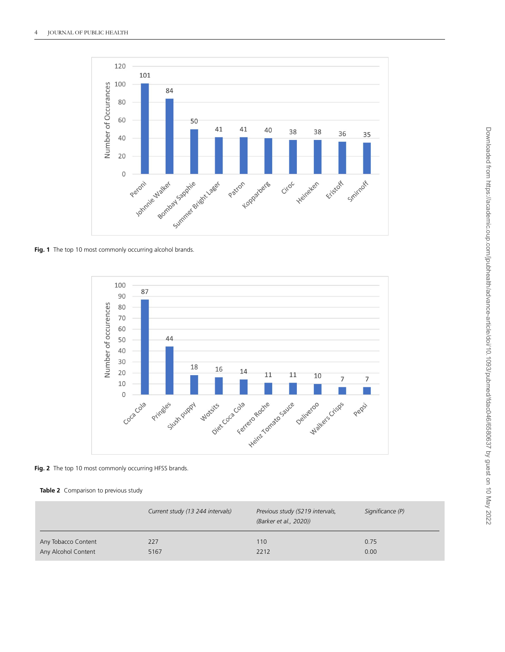

<span id="page-3-0"></span>Fig. 1 The top 10 most commonly occurring alcohol brands.



<span id="page-3-1"></span>Fig. 2 The top 10 most commonly occurring HFSS brands.

<span id="page-3-2"></span>Table 2 Comparison to previous study

|                     | Current study (13 244 intervals) | Previous study (5219 intervals,<br>(Barker et al., 2020)) | Significance (P) |
|---------------------|----------------------------------|-----------------------------------------------------------|------------------|
| Any Tobacco Content | 227                              | 110                                                       | 0.75             |
| Any Alcohol Content | 5167                             | 2212                                                      | 0.00             |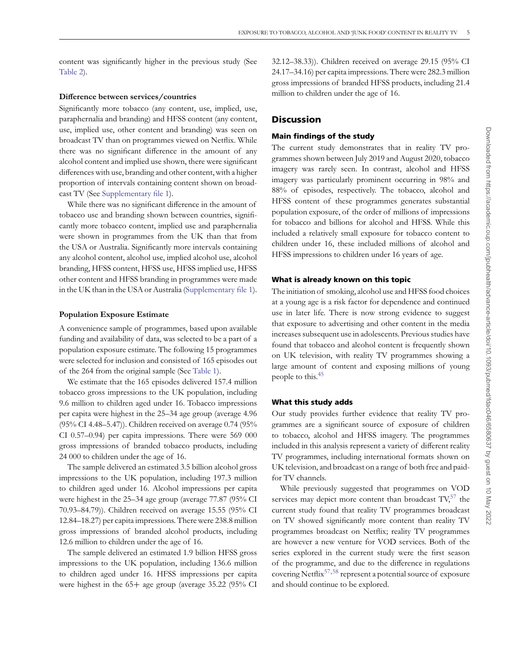content was significantly higher in the previous study (See [Table 2\)](#page-3-2).

#### **Difference between services/countries**

Significantly more tobacco (any content, use, implied, use, paraphernalia and branding) and HFSS content (any content, use, implied use, other content and branding) was seen on broadcast TV than on programmes viewed on Netflix. While there was no significant difference in the amount of any alcohol content and implied use shown, there were significant differences with use, branding and other content, with a higher proportion of intervals containing content shown on broadcast TV (See [Supplementary file 1\)](https://academic.oup.com/jpubhealth/article-lookup/doi/10.1093/pubmed/fdac046#supplementary-data).

While there was no significant difference in the amount of tobacco use and branding shown between countries, significantly more tobacco content, implied use and paraphernalia were shown in programmes from the UK than that from the USA or Australia. Significantly more intervals containing any alcohol content, alcohol use, implied alcohol use, alcohol branding, HFSS content, HFSS use, HFSS implied use, HFSS other content and HFSS branding in programmes were made in the UK than in the USA or Australia [\(Supplementary file 1\)](https://academic.oup.com/jpubhealth/article-lookup/doi/10.1093/pubmed/fdac046#supplementary-data).

#### **Population Exposure Estimate**

A convenience sample of programmes, based upon available funding and availability of data, was selected to be a part of a population exposure estimate. The following 15 programmes were selected for inclusion and consisted of 165 episodes out of the 264 from the original sample (See [Table 1\)](#page-2-0).

We estimate that the 165 episodes delivered 157.4 million tobacco gross impressions to the UK population, including 9.6 million to children aged under 16. Tobacco impressions per capita were highest in the 25–34 age group (average 4.96 (95% CI 4.48–5.47)). Children received on average 0.74 (95% CI 0.57–0.94) per capita impressions. There were 569 000 gross impressions of branded tobacco products, including 24 000 to children under the age of 16.

The sample delivered an estimated 3.5 billion alcohol gross impressions to the UK population, including 197.3 million to children aged under 16. Alcohol impressions per capita were highest in the 25–34 age group (average 77.87 (95% CI 70.93–84.79)). Children received on average 15.55 (95% CI 12.84–18.27) per capita impressions. There were 238.8 million gross impressions of branded alcohol products, including 12.6 million to children under the age of 16.

The sample delivered an estimated 1.9 billion HFSS gross impressions to the UK population, including 136.6 million to children aged under 16. HFSS impressions per capita were highest in the 65+ age group (average 35.22 (95% CI

32.12–38.33)). Children received on average 29.15 (95% CI 24.17–34.16) per capita impressions. There were 282.3 million gross impressions of branded HFSS products, including 21.4 million to children under the age of 16.

## **Discussion**

#### **Main findings of the study**

The current study demonstrates that in reality TV programmes shown between July 2019 and August 2020, tobacco imagery was rarely seen. In contrast, alcohol and HFSS imagery was particularly prominent occurring in 98% and 88% of episodes, respectively. The tobacco, alcohol and HFSS content of these programmes generates substantial population exposure, of the order of millions of impressions for tobacco and billions for alcohol and HFSS. While this included a relatively small exposure for tobacco content to children under 16, these included millions of alcohol and HFSS impressions to children under 16 years of age.

#### **What is already known on this topic**

The initiation of smoking, alcohol use and HFSS food choices at a young age is a risk factor for dependence and continued use in later life. There is now strong evidence to suggest that exposure to advertising and other content in the media increases subsequent use in adolescents. Previous studies have found that tobacco and alcohol content is frequently shown on UK television, with reality TV programmes showing a large amount of content and exposing millions of young people to this.[45](#page-7-12)

#### **What this study adds**

Our study provides further evidence that reality TV programmes are a significant source of exposure of children to tobacco, alcohol and HFSS imagery. The programmes included in this analysis represent a variety of different reality TV programmes, including international formats shown on UK television, and broadcast on a range of both free and paidfor TV channels.

<span id="page-4-1"></span><span id="page-4-0"></span>While previously suggested that programmes on VOD services may depict more content than broadcast  $TV<sub>2</sub><sup>57</sup>$  $TV<sub>2</sub><sup>57</sup>$  $TV<sub>2</sub><sup>57</sup>$  the current study found that reality TV programmes broadcast on TV showed significantly more content than reality TV programmes broadcast on Netflix; reality TV programmes are however a new venture for VOD services. Both of the series explored in the current study were the first season of the programme, and due to the difference in regulations covering Netflix<sup>57,[58](#page-7-25)</sup> represent a potential source of exposure and should continue to be explored.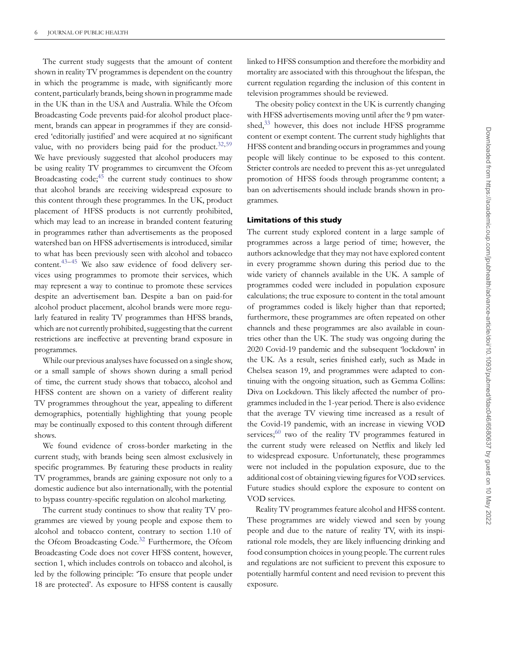The current study suggests that the amount of content shown in reality TV programmes is dependent on the country in which the programme is made, with significantly more content, particularly brands, being shown in programme made in the UK than in the USA and Australia. While the Ofcom Broadcasting Code prevents paid-for alcohol product placement, brands can appear in programmes if they are considered 'editorially justified' and were acquired at no significant value, with no providers being paid for the product. $32,59$  $32,59$ We have previously suggested that alcohol producers may be using reality TV programmes to circumvent the Ofcom Broadcasting  $code; ^{45}$  $code; ^{45}$  $code; ^{45}$  the current study continues to show that alcohol brands are receiving widespread exposure to this content through these programmes. In the UK, product placement of HFSS products is not currently prohibited, which may lead to an increase in branded content featuring in programmes rather than advertisements as the proposed watershed ban on HFSS advertisements is introduced, similar to what has been previously seen with alcohol and tobacco content[.43](#page-7-11)–[45](#page-7-12) We also saw evidence of food delivery services using programmes to promote their services, which may represent a way to continue to promote these services despite an advertisement ban. Despite a ban on paid-for alcohol product placement, alcohol brands were more regularly featured in reality TV programmes than HFSS brands, which are not currently prohibited, suggesting that the current restrictions are ineffective at preventing brand exposure in programmes.

While our previous analyses have focussed on a single show, or a small sample of shows shown during a small period of time, the current study shows that tobacco, alcohol and HFSS content are shown on a variety of different reality TV programmes throughout the year, appealing to different demographics, potentially highlighting that young people may be continually exposed to this content through different shows.

We found evidence of cross-border marketing in the current study, with brands being seen almost exclusively in specific programmes. By featuring these products in reality TV programmes, brands are gaining exposure not only to a domestic audience but also internationally, with the potential to bypass country-specific regulation on alcohol marketing.

The current study continues to show that reality TV programmes are viewed by young people and expose them to alcohol and tobacco content, contrary to section 1.10 of the Ofcom Broadcasting Code.<sup>32</sup> Furthermore, the Ofcom Broadcasting Code does not cover HFSS content, however, section 1, which includes controls on tobacco and alcohol, is led by the following principle: 'To ensure that people under 18 are protected'. As exposure to HFSS content is causally linked to HFSS consumption and therefore the morbidity and mortality are associated with this throughout the lifespan, the current regulation regarding the inclusion of this content in television programmes should be reviewed.

<span id="page-5-0"></span>The obesity policy context in the UK is currently changing with HFSS advertisements moving until after the 9 pm watershed,<sup>33</sup> however, this does not include HFSS programme content or exempt content. The current study highlights that HFSS content and branding occurs in programmes and young people will likely continue to be exposed to this content. Stricter controls are needed to prevent this as-yet unregulated promotion of HFSS foods through programme content; a ban on advertisements should include brands shown in programmes.

#### **Limitations of this study**

The current study explored content in a large sample of programmes across a large period of time; however, the authors acknowledge that they may not have explored content in every programme shown during this period due to the wide variety of channels available in the UK. A sample of programmes coded were included in population exposure calculations; the true exposure to content in the total amount of programmes coded is likely higher than that reported; furthermore, these programmes are often repeated on other channels and these programmes are also available in countries other than the UK. The study was ongoing during the 2020 Covid-19 pandemic and the subsequent 'lockdown' in the UK. As a result, series finished early, such as Made in Chelsea season 19, and programmes were adapted to continuing with the ongoing situation, such as Gemma Collins: Diva on Lockdown. This likely affected the number of programmes included in the 1-year period. There is also evidence that the average TV viewing time increased as a result of the Covid-19 pandemic, with an increase in viewing VOD services;<sup>60</sup> two of the reality TV programmes featured in the current study were released on Netflix and likely led to widespread exposure. Unfortunately, these programmes were not included in the population exposure, due to the additional cost of obtaining viewing figures for VOD services. Future studies should explore the exposure to content on VOD services.

<span id="page-5-1"></span>Reality TV programmes feature alcohol and HFSS content. These programmes are widely viewed and seen by young people and due to the nature of reality TV, with its inspirational role models, they are likely influencing drinking and food consumption choices in young people. The current rules and regulations are not sufficient to prevent this exposure to potentially harmful content and need revision to prevent this exposure.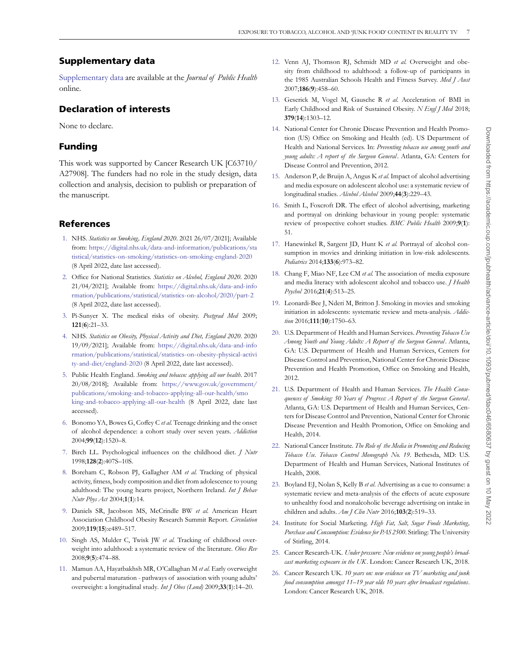# **Supplementary data**

[Supplementary data](https://academic.oup.com/jpubhealth/article-lookup/doi/10.1093/pubmed/fdac046#supplementary-data) are available at the *Journal of Public Health* online.

# **Declaration of interests**

None to declare.

# **Funding**

This work was supported by Cancer Research UK [C63710/ A27908]. The funders had no role in the study design, data collection and analysis, decision to publish or preparation of the manuscript.

## **References**

- <span id="page-6-0"></span>[1.](#page-0-0) NHS. *Statistics on Smoking, England 2020*. 2021 26/07/2021]; Available from: [https://digital.nhs.uk/data-and-information/publications/sta](https://digital.nhs.uk/data-and-information/publications/statistical/statistics-on-smoking/statistics-on-smoking-england-2020) [tistical/statistics-on-smoking/statistics-on-smoking-england-2020](https://digital.nhs.uk/data-and-information/publications/statistical/statistics-on-smoking/statistics-on-smoking-england-2020) (8 April 2022, date last accessed).
- <span id="page-6-1"></span>[2.](#page-0-1) Office for National Statistics. *Statistics on Alcohol, England 2020*. 2020 21/04/2021]; Available from: [https://digital.nhs.uk/data-and-info](https://digital.nhs.uk/data-and-information/publications/statistical/statistics-on-alcohol/2020/part-2) [rmation/publications/statistical/statistics-on-alcohol/2020/part-2](https://digital.nhs.uk/data-and-information/publications/statistical/statistics-on-alcohol/2020/part-2) (8 April 2022, date last accessed).
- <span id="page-6-2"></span>[3.](#page-0-2) Pi-Sunyer X. The medical risks of obesity. *Postgrad Med* 2009; **121**(**6**):21–33.
- <span id="page-6-3"></span>[4.](#page-0-3) NHS. *Statistics on Obesity, Physical Activity and Diet, England 2020*. 2020 19/09/2021]; Available from: [https://digital.nhs.uk/data-and-info](https://digital.nhs.uk/data-and-information/publications/statistical/statistics-on-obesity-physical-activity-and-diet/england-2020) [rmation/publications/statistical/statistics-on-obesity-physical-activi](https://digital.nhs.uk/data-and-information/publications/statistical/statistics-on-obesity-physical-activity-and-diet/england-2020) [ty-and-diet/england-2020](https://digital.nhs.uk/data-and-information/publications/statistical/statistics-on-obesity-physical-activity-and-diet/england-2020) (8 April 2022, date last accessed).
- <span id="page-6-4"></span>[5.](#page-0-4) Public Health England. *Smoking and tobacco: applying all our health*. 2017 20/08/2018]; Available from: [https://www.gov.uk/government/](https://www.gov.uk/government/publications/smoking-and-tobacco-applying-all-our-health/smoking-and-tobacco-applying-all-our-health) [publications/smoking-and-tobacco-applying-all-our-health/smo](https://www.gov.uk/government/publications/smoking-and-tobacco-applying-all-our-health/smoking-and-tobacco-applying-all-our-health) [king-and-tobacco-applying-all-our-health](https://www.gov.uk/government/publications/smoking-and-tobacco-applying-all-our-health/smoking-and-tobacco-applying-all-our-health) (8 April 2022, date last accessed).
- <span id="page-6-5"></span>[6.](#page-0-5) Bonomo YA, Bowes G, Coffey C *et al.* Teenage drinking and the onset of alcohol dependence: a cohort study over seven years. *Addiction* 2004;**99**(**12**):1520–8.
- <span id="page-6-6"></span>[7.](#page-0-6) Birch LL. Psychological influences on the childhood diet. *J Nutr* 1998;**128**(**2**):407S–10S.
- 8. Boreham C, Robson PJ, Gallagher AM *et al.* Tracking of physical activity, fitness, body composition and diet from adolescence to young adulthood: The young hearts project, Northern Ireland. *Int J Behav Nutr Phys Act* 2004;**1**(**1**):14.
- 9. Daniels SR, Jacobson MS, McCrindle BW *et al.* American Heart Association Childhood Obesity Research Summit Report. *Circulation* 2009;**119**(**15**):e489–517.
- 10. Singh AS, Mulder C, Twisk JW *et al.* Tracking of childhood overweight into adulthood: a systematic review of the literature. *Obes Rev* 2008;**9**(**5**):474–88.
- 11. Mamun AA, Hayatbakhsh MR, O'Callaghan M *et al.* Early overweight and pubertal maturation - pathways of association with young adults' overweight: a longitudinal study. *Int J Obes (Lond)* 2009;**33**(**1**):14–20.
- 12. Venn AJ, Thomson RJ, Schmidt MD *et al.* Overweight and obesity from childhood to adulthood: a follow-up of participants in the 1985 Australian Schools Health and Fitness Survey. *Med J Aust* 2007;**186**(**9**):458–60.
- <span id="page-6-7"></span>[13.](#page-0-7) Geserick M, Vogel M, Gausche R *et al.* Acceleration of BMI in Early Childhood and Risk of Sustained Obesity. *N Engl J Med* 2018; **379**(**14**):1303–12.
- <span id="page-6-8"></span>[14.](#page-0-8) National Center for Chronic Disease Prevention and Health Promotion (US) Office on Smoking and Health (ed). US Department of Health and National Services. In: *Preventing tobacco use among youth and young adults: A report of the Surgeon General* . Atlanta, GA: Centers for Disease Control and Prevention, 2012.
- 15. Anderson P, de Bruijn A, Angus K *et al.* Impact of alcohol advertising and media exposure on adolescent alcohol use: a systematic review of longitudinal studies. *Alcohol Alcohol* 2009;**44**(**3**):229–43.
- 16. Smith L, Foxcroft DR. The effect of alcohol advertising, marketing and portrayal on drinking behaviour in young people: systematic review of prospective cohort studies. *BMC Public Health* 2009;**9**(**1**): 51.
- 17. Hanewinkel R, Sargent JD, Hunt K *et al.* Portrayal of alcohol consumption in movies and drinking initiation in low-risk adolescents. *Pediatrics* 2014;**133**(**6**):973–82.
- 18. Chang F, Miao NF, Lee CM *et al.* The association of media exposure and media literacy with adolescent alcohol and tobacco use. *J Health Psychol* 2016;**21**(**4**):513–25.
- 19. Leonardi-Bee J, Nderi M, Britton J. Smoking in movies and smoking initiation in adolescents: systematic review and meta-analysis. *Addiction* 2016;**111**(**10**):1750–63.
- 20. U.S. Department of Health and Human Services. *Preventing Tobacco Use Among Youth and Young Adults: A Report of the Surgeon General* . Atlanta, GA: U.S. Department of Health and Human Services, Centers for Disease Control and Prevention, National Center for Chronic Disease Prevention and Health Promotion, Office on Smoking and Health, 2012.
- 21. U.S. Department of Health and Human Services. *The Health Consequences of Smoking: 50 Years of Progress: A Report of the Surgeon General* . Atlanta, GA: U.S. Department of Health and Human Services, Centers for Disease Control and Prevention, National Center for Chronic Disease Prevention and Health Promotion, Office on Smoking and Health, 2014.
- 22. National Cancer Institute. *The Role of the Media in Promoting and Reducing Tobacco Use. Tobacco Control Monograph No. 19*. Bethesda, MD: U.S. Department of Health and Human Services, National Institutes of Health, 2008.
- 23. Boyland EJ, Nolan S, Kelly B *et al.* Advertising as a cue to consume: a systematic review and meta-analysis of the effects of acute exposure to unhealthy food and nonalcoholic beverage advertising on intake in children and adults. *Am J Clin Nutr* 2016;**103**(**2**):519–33.
- 24. Institute for Social Marketing. *High Fat, Salt, Sugar Foods Marketing, Purchase and Consumption: Evidence for PAS 2500*. Stirling: The University of Stirling, 2014.
- 25. Cancer Research-UK. *Under pressure: New evidence on young people's broadcast marketing exposure in the UK* . London: Cancer Research UK, 2018.
- 26. Cancer Research UK. *10 years on: new evidence on TV marketing and junk food consumption amongst 11–19 year olds 10 years after broadcast regulations*. London: Cancer Research UK, 2018.